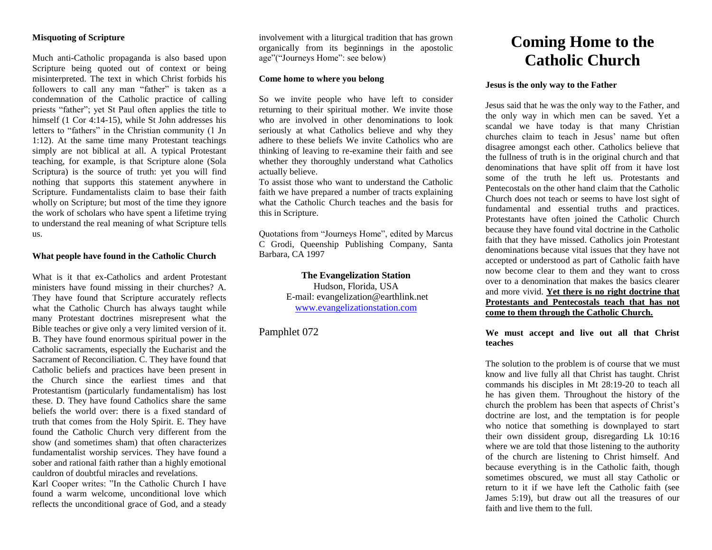# **Misquoting of Scripture**

Much anti-Catholic propaganda is also based upon Scripture being quoted out of context or being misinterpreted. The text in which Christ forbids his followers to call any man "father" is taken as a condemnation of the Catholic practice of calling priests "father"; yet St Paul often applies the title to himself (1 Cor 4:14-15), while St John addresses his letters to "fathers" in the Christian community (1 Jn 1:12). At the same time many Protestant teachings simply are not biblical at all. A typical Protestant teaching, for example, is that Scripture alone (Sola Scriptura) is the source of truth: yet you will find nothing that supports this statement anywhere in Scripture. Fundamentalists claim to base their faith wholly on Scripture; but most of the time they ignore the work of scholars who have spent a lifetime trying to understand the real meaning of what Scripture tells us.

## **What people have found in the Catholic Church**

What is it that ex-Catholics and ardent Protestant ministers have found missing in their churches? A. They have found that Scripture accurately reflects what the Catholic Church has always taught while many Protestant doctrines misrepresent what the Bible teaches or give only a very limited version of it. B. They have found enormous spiritual power in the Catholic sacraments, especially the Eucharist and the Sacrament of Reconciliation. C. They have found that Catholic beliefs and practices have been present in the Church since the earliest times and that Protestantism (particularly fundamentalism) has lost these. D. They have found Catholics share the same beliefs the world over: there is a fixed standard of truth that comes from the Holy Spirit. E. They have found the Catholic Church very different from the show (and sometimes sham) that often characterizes fundamentalist worship services. They have found a sober and rational faith rather than a highly emotional cauldron of doubtful miracles and revelations.

Karl Cooper writes: "In the Catholic Church I have found a warm welcome, unconditional love which reflects the unconditional grace of God, and a steady

involvement with a liturgical tradition that has grown organically from its beginnings in the apostolic age"("Journeys Home": see below)

# **Come home to where you belong**

So we invite people who have left to consider returning to their spiritual mother. We invite those who are involved in other denominations to look seriously at what Catholics believe and why they adhere to these beliefs We invite Catholics who are thinking of leaving to re-examine their faith and see whether they thoroughly understand what Catholics actually believe.

To assist those who want to understand the Catholic faith we have prepared a number of tracts explaining what the Catholic Church teaches and the basis for this in Scripture.

Quotations from "Journeys Home", edited by Marcus C Grodi, Queenship Publishing Company, Santa Barbara, CA 1997

## **The Evangelization Station** Hudson, Florida, USA

E-mail: evangelization@earthlink.net [www.evangelizationstation.com](http://www.pjpiisoe.org/)

Pamphlet 072

# **Coming Home to the Catholic Church**

#### **Jesus is the only way to the Father**

Jesus said that he was the only way to the Father, and the only way in which men can be saved. Yet a scandal we have today is that many Christian churches claim to teach in Jesus' name but often disagree amongst each other. Catholics believe that the fullness of truth is in the original church and that denominations that have split off from it have lost some of the truth he left us. Protestants and Pentecostals on the other hand claim that the Catholic Church does not teach or seems to have lost sight of fundamental and essential truths and practices. Protestants have often joined the Catholic Church because they have found vital doctrine in the Catholic faith that they have missed. Catholics join Protestant denominations because vital issues that they have not accepted or understood as part of Catholic faith have now become clear to them and they want to cross over to a denomination that makes the basics clearer and more vivid. **Yet there is no right doctrine that Protestants and Pentecostals teach that has not come to them through the Catholic Church.**

# **We must accept and live out all that Christ teaches**

The solution to the problem is of course that we must know and live fully all that Christ has taught. Christ commands his disciples in Mt 28:19-20 to teach all he has given them. Throughout the history of the church the problem has been that aspects of Christ's doctrine are lost, and the temptation is for people who notice that something is downplayed to start their own dissident group, disregarding Lk 10:16 where we are told that those listening to the authority of the church are listening to Christ himself. And because everything is in the Catholic faith, though sometimes obscured, we must all stay Catholic or return to it if we have left the Catholic faith (see James 5:19), but draw out all the treasures of our faith and live them to the full.